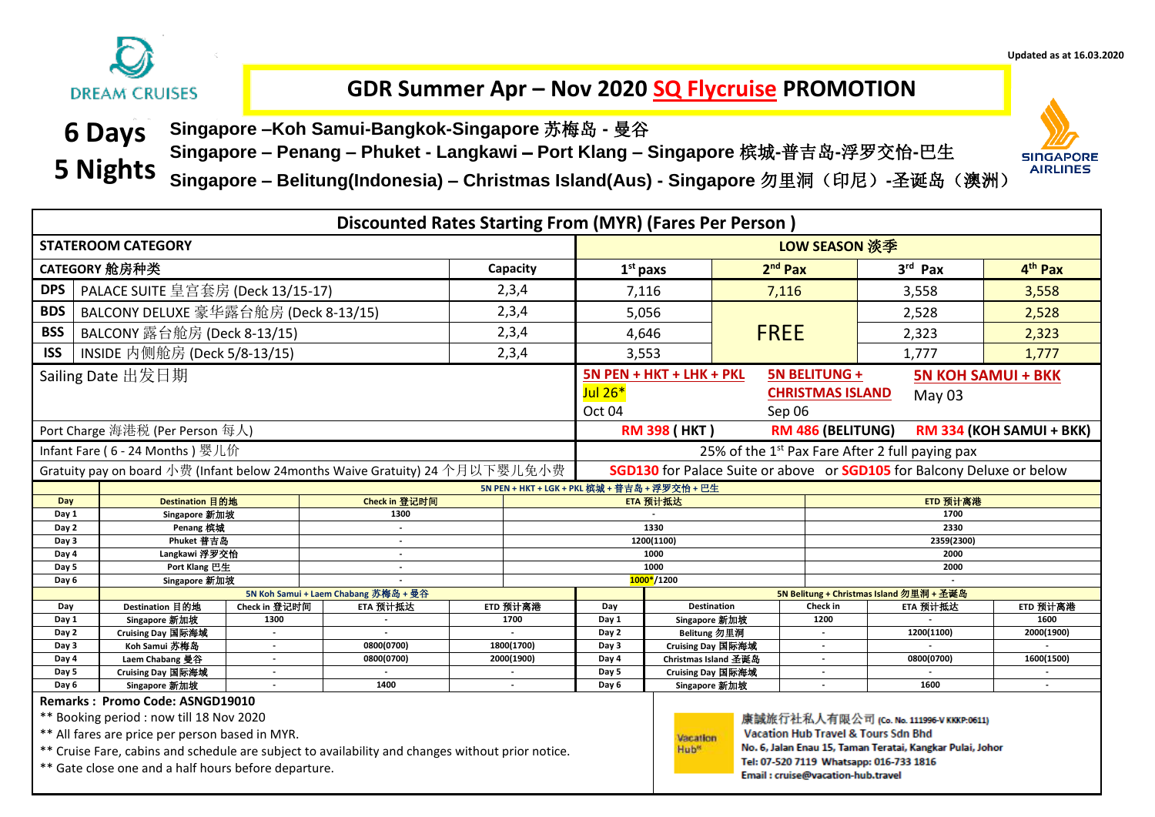

## **GDR Summer Apr – Nov 2020 SQ Flycruise PROMOTION**

**6 Days Singapore –Koh Samui-Bangkok-Singapore** 苏梅岛 **-** 曼谷

**Singapore – Penang – Phuket - Langkawi Port Klang – Singapore** 槟城**-**普吉岛**-**浮罗交怡**-**巴生



l

**Singapore – Belitung(Indonesia) – Christmas Island(Aus) - Singapore** 勿里洞(印尼)**-**圣诞岛(澳洲) **5 Nights**

|                                                            |                                                                                                                                                                                                  |                                    | Discounted Rates Starting From (MYR) (Fares Per Person)                      |                          |               |                                                                        |                                                                                                                                                   |             |                                                      |                                                                                                                                                         |                          |  |  |
|------------------------------------------------------------|--------------------------------------------------------------------------------------------------------------------------------------------------------------------------------------------------|------------------------------------|------------------------------------------------------------------------------|--------------------------|---------------|------------------------------------------------------------------------|---------------------------------------------------------------------------------------------------------------------------------------------------|-------------|------------------------------------------------------|---------------------------------------------------------------------------------------------------------------------------------------------------------|--------------------------|--|--|
| <b>STATEROOM CATEGORY</b>                                  |                                                                                                                                                                                                  |                                    |                                                                              |                          |               |                                                                        | LOW SEASON 淡季                                                                                                                                     |             |                                                      |                                                                                                                                                         |                          |  |  |
|                                                            | CATEGORY 舱房种类<br>Capacity                                                                                                                                                                        |                                    |                                                                              |                          |               |                                                                        |                                                                                                                                                   | $2nd$ Pax   |                                                      | 3rd Pax                                                                                                                                                 | 4 <sup>th</sup> Pax      |  |  |
| <b>DPS</b>                                                 | PALACE SUITE 皇宫套房 (Deck 13/15-17)                                                                                                                                                                |                                    |                                                                              |                          | 2,3,4         |                                                                        | 7,116                                                                                                                                             | 7,116       |                                                      | 3,558                                                                                                                                                   | 3,558                    |  |  |
| <b>BDS</b>                                                 | BALCONY DELUXE 豪华露台舱房 (Deck 8-13/15)                                                                                                                                                             |                                    |                                                                              |                          | 2,3,4         |                                                                        | 5,056                                                                                                                                             |             |                                                      | 2,528                                                                                                                                                   | 2,528                    |  |  |
| <b>BSS</b>                                                 | BALCONY 露台舱房 (Deck 8-13/15)                                                                                                                                                                      |                                    |                                                                              |                          | 2,3,4         |                                                                        | 4,646                                                                                                                                             | <b>FREE</b> |                                                      | 2,323                                                                                                                                                   | 2,323                    |  |  |
| <b>ISS</b>                                                 | INSIDE 内侧舱房 (Deck 5/8-13/15)                                                                                                                                                                     |                                    |                                                                              |                          | 2,3,4         |                                                                        | 3,553                                                                                                                                             |             |                                                      | 1,777                                                                                                                                                   | 1,777                    |  |  |
| Sailing Date 出发日期                                          |                                                                                                                                                                                                  |                                    |                                                                              |                          |               |                                                                        | <b>5N BELITUNG +</b><br>5N PEN + HKT + LHK + PKL<br><b>5N KOH SAMUI + BKK</b><br>Jul 26*<br><b>CHRISTMAS ISLAND</b><br>May 03<br>Oct 04<br>Sep 06 |             |                                                      |                                                                                                                                                         |                          |  |  |
|                                                            | Port Charge 海港税 (Per Person 每人)                                                                                                                                                                  |                                    |                                                                              |                          |               |                                                                        | <b>RM 398 (HKT)</b>                                                                                                                               |             | RM 486 (BELITUNG)                                    |                                                                                                                                                         | RM 334 (KOH SAMUI + BKK) |  |  |
|                                                            | Infant Fare (6 - 24 Months) 婴儿价                                                                                                                                                                  |                                    |                                                                              |                          |               | 25% of the 1 <sup>st</sup> Pax Fare After 2 full paying pax            |                                                                                                                                                   |             |                                                      |                                                                                                                                                         |                          |  |  |
|                                                            |                                                                                                                                                                                                  |                                    | Gratuity pay on board 小费 (Infant below 24months Waive Gratuity) 24 个月以下婴儿免小费 |                          |               | SGD130 for Palace Suite or above or SGD105 for Balcony Deluxe or below |                                                                                                                                                   |             |                                                      |                                                                                                                                                         |                          |  |  |
|                                                            |                                                                                                                                                                                                  |                                    |                                                                              |                          |               |                                                                        | 5N PEN + HKT + LGK + PKL 槟城 + 普吉岛 + 浮罗交怡 + 巴生                                                                                                     |             |                                                      |                                                                                                                                                         |                          |  |  |
| Day                                                        | Destination 目的地                                                                                                                                                                                  |                                    | Check in 登记时间                                                                |                          |               |                                                                        | ETD 预计离港<br>ETA 预计抵达                                                                                                                              |             |                                                      |                                                                                                                                                         |                          |  |  |
| Day 1                                                      | Singapore 新加坡                                                                                                                                                                                    |                                    | 1300                                                                         |                          |               |                                                                        | 1700                                                                                                                                              |             |                                                      |                                                                                                                                                         |                          |  |  |
| Day 2<br>Day 3                                             | Penang 槟城<br>Phuket 普吉岛                                                                                                                                                                          |                                    | $\blacksquare$                                                               |                          |               |                                                                        | 1330<br>2330<br>1200(1100)<br>2359(2300)                                                                                                          |             |                                                      |                                                                                                                                                         |                          |  |  |
| Day 4                                                      | Langkawi 浮罗交恰                                                                                                                                                                                    |                                    | $\blacksquare$                                                               |                          |               |                                                                        | 1000<br>2000                                                                                                                                      |             |                                                      |                                                                                                                                                         |                          |  |  |
| Day 5                                                      | Port Klang 巴生                                                                                                                                                                                    |                                    |                                                                              |                          |               |                                                                        | 1000<br>2000                                                                                                                                      |             |                                                      |                                                                                                                                                         |                          |  |  |
| Day 6                                                      | Singapore 新加坡                                                                                                                                                                                    |                                    |                                                                              |                          |               |                                                                        | 1000*/1200                                                                                                                                        |             |                                                      |                                                                                                                                                         |                          |  |  |
|                                                            |                                                                                                                                                                                                  |                                    | 5N Koh Samui + Laem Chabang 苏梅岛 + 曼谷                                         |                          |               |                                                                        | 5N Belitung + Christmas Island 勿里洞 + 圣诞岛                                                                                                          |             |                                                      |                                                                                                                                                         |                          |  |  |
| Day                                                        | Destination 目的地                                                                                                                                                                                  | Check in 登记时间                      | ETA 预计抵达                                                                     |                          | ETD 预计离港      | Day                                                                    | <b>Destination</b>                                                                                                                                |             | Check in                                             | ETA 预计抵达                                                                                                                                                | ETD 预计离港                 |  |  |
| Day 1                                                      | Singapore 新加坡                                                                                                                                                                                    | 1300                               |                                                                              |                          | 1700          | Day 1                                                                  | Singapore 新加坡                                                                                                                                     |             | 1200                                                 |                                                                                                                                                         | 1600                     |  |  |
| Day 2                                                      | Cruising Day 国际海域<br>Koh Samui 苏梅岛                                                                                                                                                               | $\sim$                             | $\overline{a}$<br>0800(0700)                                                 |                          |               | Day 2                                                                  | Belitung 勿里洞<br>Cruising Day 国际海域                                                                                                                 |             | $\mathbf{r}$                                         | 1200(1100)                                                                                                                                              | 2000(1900)               |  |  |
| Day 3<br>Day 4                                             | Laem Chabang 曼谷                                                                                                                                                                                  | $\sim$<br>$\overline{\phantom{a}}$ | 0800(0700)                                                                   | 1800(1700)<br>2000(1900) |               | Day 3<br>Day 4                                                         | Christmas Island 圣诞岛                                                                                                                              |             | $\overline{\phantom{a}}$<br>$\overline{\phantom{a}}$ | 0800(0700)                                                                                                                                              | 1600(1500)               |  |  |
| Day 5                                                      | Cruising Day 国际海域                                                                                                                                                                                | $\overline{\phantom{a}}$           |                                                                              |                          |               | Day 5                                                                  | Cruising Day 国际海域                                                                                                                                 |             | $\blacksquare$                                       |                                                                                                                                                         |                          |  |  |
| Singapore 新加坡<br>1400<br>Day 6<br>$\overline{\phantom{a}}$ |                                                                                                                                                                                                  |                                    |                                                                              | Day 6                    | Singapore 新加坡 |                                                                        | $\overline{a}$                                                                                                                                    | 1600        | $\sim$                                               |                                                                                                                                                         |                          |  |  |
|                                                            | Remarks: Promo Code: ASNGD19010                                                                                                                                                                  |                                    |                                                                              |                          |               |                                                                        |                                                                                                                                                   |             |                                                      |                                                                                                                                                         |                          |  |  |
|                                                            | ** Booking period : now till 18 Nov 2020<br>** All fares are price per person based in MYR.<br>** Cruise Fare, cabins and schedule are subject to availability and changes without prior notice. |                                    |                                                                              |                          |               |                                                                        | Vacation<br>Hub <sup>®</sup>                                                                                                                      |             |                                                      | 康誠旅行社私人有限公司 (Co. No. 111996-V KKKP:0611)<br><b>Vacation Hub Travel &amp; Tours Sdn Bhd</b><br>No. 6, Jalan Enau 15, Taman Teratai, Kangkar Pulai, Johor |                          |  |  |
|                                                            | ** Gate close one and a half hours before departure.                                                                                                                                             |                                    |                                                                              |                          |               |                                                                        |                                                                                                                                                   |             | Email: cruise@vacation-hub.travel                    | Tel: 07-520 7119 Whatsapp: 016-733 1816                                                                                                                 |                          |  |  |

**Updated as at 16.03.2020**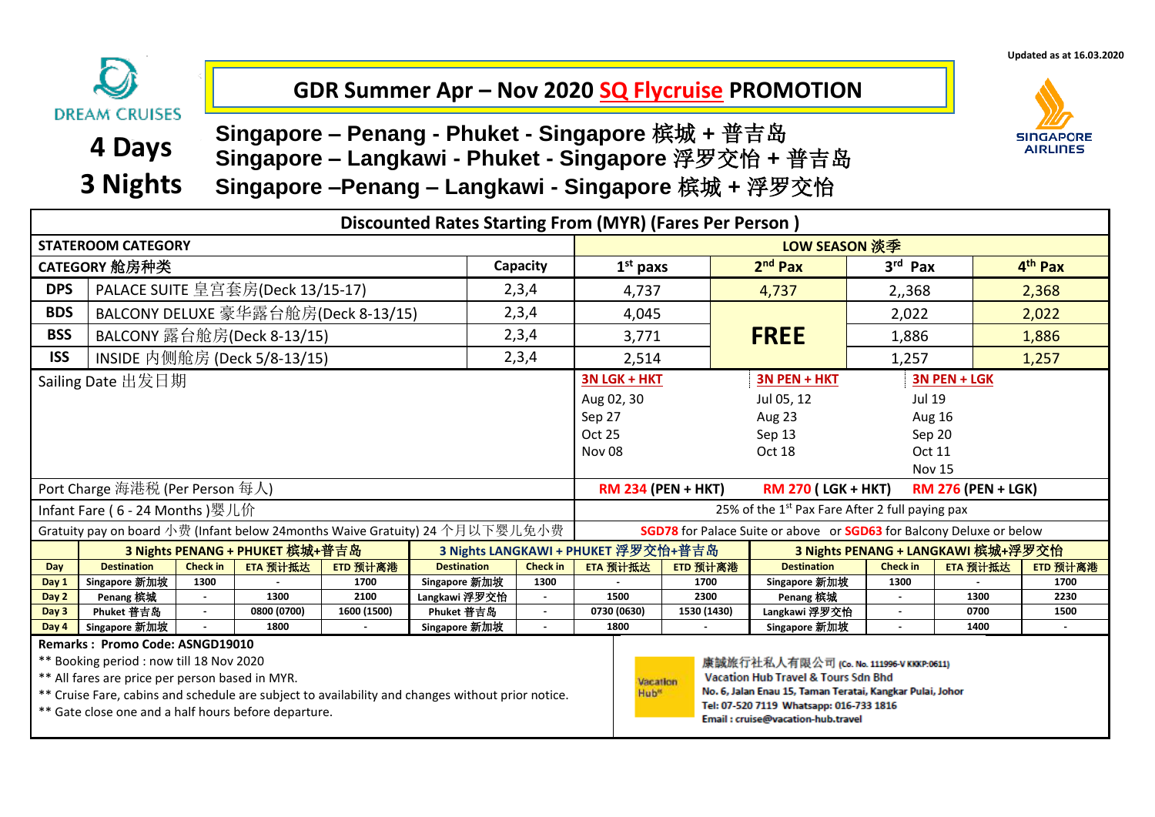**Updated as at 16.03.2020**

## **GDR Summer Apr – Nov 2020 SQ Flycruise PROMOTION**

**DREAM CRUISES 4 Days 3 Nights**

**Singapore – Penang - Phuket - Singapore** 槟城 **+** 普吉岛 **Singapore –Penang – Langkawi - Singapore** 槟城 **+** 浮罗交怡 **Singapore – Langkawi - Phuket - Singapore** 浮罗交怡 **+** 普吉岛



|                                                 | Discounted Rates Starting From (MYR) (Fares Per Person)                              |                 |                                  |                                     |                                                                              |                 |                                                                                     |                                                                           |                                                |                 |               |                     |  |
|-------------------------------------------------|--------------------------------------------------------------------------------------|-----------------|----------------------------------|-------------------------------------|------------------------------------------------------------------------------|-----------------|-------------------------------------------------------------------------------------|---------------------------------------------------------------------------|------------------------------------------------|-----------------|---------------|---------------------|--|
| <b>STATEROOM CATEGORY</b>                       |                                                                                      |                 |                                  |                                     |                                                                              |                 |                                                                                     | LOW SEASON 淡季                                                             |                                                |                 |               |                     |  |
|                                                 | CATEGORY 舱房种类                                                                        |                 |                                  |                                     |                                                                              | Capacity        | $1st$ paxs                                                                          |                                                                           | $2nd$ Pax                                      | $3rd$ Pax       |               | 4 <sup>th</sup> Pax |  |
| <b>DPS</b>                                      |                                                                                      |                 | PALACE SUITE 皇宫套房(Deck 13/15-17) |                                     |                                                                              | 2,3,4           | 4,737                                                                               |                                                                           | 4,737                                          | 2,,368          |               | 2,368               |  |
| <b>BDS</b>                                      |                                                                                      |                 |                                  | BALCONY DELUXE 豪华露台舱房(Deck 8-13/15) |                                                                              | 2,3,4           | 4,045                                                                               |                                                                           |                                                | 2,022           |               | 2,022               |  |
| <b>BSS</b>                                      |                                                                                      |                 | BALCONY 露台舱房(Deck 8-13/15)       |                                     |                                                                              | 2,3,4           | 3,771                                                                               |                                                                           | <b>FREE</b>                                    | 1,886           |               | 1,886               |  |
| <b>ISS</b>                                      |                                                                                      |                 | INSIDE 内侧舱房 (Deck 5/8-13/15)     |                                     |                                                                              | 2,3,4           | 2,514                                                                               |                                                                           |                                                | 1,257           |               | 1,257               |  |
|                                                 | Sailing Date 出发日期                                                                    |                 |                                  |                                     |                                                                              |                 | 3N LGK + HKT                                                                        |                                                                           | 3N PEN + HKT                                   |                 | 3N PEN + LGK  |                     |  |
|                                                 |                                                                                      |                 |                                  |                                     |                                                                              |                 | Aug 02, 30                                                                          |                                                                           | Jul 05, 12                                     | Jul 19          |               |                     |  |
|                                                 |                                                                                      |                 |                                  |                                     |                                                                              |                 | Sep 27                                                                              | Aug 23<br>Aug 16                                                          |                                                |                 |               |                     |  |
|                                                 |                                                                                      |                 |                                  |                                     |                                                                              |                 | Oct 25                                                                              | Sep 13<br>Sep 20                                                          |                                                |                 |               |                     |  |
|                                                 |                                                                                      |                 |                                  |                                     |                                                                              |                 | <b>Nov 08</b>                                                                       | Oct 18<br>Oct 11                                                          |                                                |                 |               |                     |  |
|                                                 |                                                                                      |                 |                                  |                                     |                                                                              |                 |                                                                                     |                                                                           |                                                |                 | <b>Nov 15</b> |                     |  |
|                                                 | Port Charge 海港税 (Per Person 每人)                                                      |                 |                                  |                                     |                                                                              |                 | <b>RM 234 (PEN + HKT)</b><br><b>RM 270 (LGK + HKT)</b><br><b>RM 276 (PEN + LGK)</b> |                                                                           |                                                |                 |               |                     |  |
|                                                 | Infant Fare (6 - 24 Months) 婴儿价                                                      |                 |                                  |                                     |                                                                              |                 | 25% of the 1 <sup>st</sup> Pax Fare After 2 full paying pax                         |                                                                           |                                                |                 |               |                     |  |
|                                                 |                                                                                      |                 |                                  |                                     | Gratuity pay on board 小费 (Infant below 24months Waive Gratuity) 24 个月以下婴儿免小费 |                 | <b>SGD78</b> for Palace Suite or above or <b>SGD63</b> for Balcony Deluxe or below  |                                                                           |                                                |                 |               |                     |  |
|                                                 |                                                                                      |                 | 3 Nights PENANG + PHUKET 槟城+普吉岛  |                                     |                                                                              |                 |                                                                                     | 3 Nights LANGKAWI + PHUKET 浮罗交怡+普吉岛<br>3 Nights PENANG + LANGKAWI 槟城+浮罗交怡 |                                                |                 |               |                     |  |
| Day                                             | <b>Destination</b>                                                                   | <b>Check in</b> | ETA 预计抵达                         | ETD 预计离港                            | <b>Destination</b>                                                           | <b>Check in</b> | ETA 预计抵达                                                                            | ETD 预计离港                                                                  | <b>Destination</b>                             | <b>Check in</b> | ETA 预计抵达      | ETD 预计离港            |  |
| Day 1                                           | Singapore 新加坡                                                                        | 1300            |                                  | 1700                                | Singapore 新加坡                                                                | 1300            |                                                                                     | 1700                                                                      | Singapore 新加坡                                  | 1300            |               | 1700                |  |
| Day 2                                           | Penang 槟城                                                                            |                 | 1300                             | 2100                                | Langkawi 浮罗交怡                                                                |                 | 1500                                                                                | 2300                                                                      | Penang 槟城                                      | $\sim$          | 1300          | 2230                |  |
| Day 3                                           | Phuket 普吉岛                                                                           |                 | 0800 (0700)                      | 1600 (1500)                         | Phuket 普吉岛                                                                   |                 | 0730 (0630)                                                                         | 1530 (1430)                                                               | Langkawi 浮罗交怡                                  |                 | 0700          | 1500                |  |
| Day 4                                           | Singapore 新加坡                                                                        |                 | 1800                             |                                     | Singapore 新加坡                                                                | ۰.              | 1800                                                                                |                                                                           | Singapore 新加坡                                  | $\sim$          | 1400          | $\sim$              |  |
|                                                 | Remarks: Promo Code: ASNGD19010                                                      |                 |                                  |                                     |                                                                              |                 |                                                                                     |                                                                           |                                                |                 |               |                     |  |
|                                                 | ** Booking period : now till 18 Nov 2020<br>康誠旅行社私人有限公司 (Co. No. 111996-V KKKP:0611) |                 |                                  |                                     |                                                                              |                 |                                                                                     |                                                                           |                                                |                 |               |                     |  |
| ** All fares are price per person based in MYR. |                                                                                      |                 |                                  |                                     |                                                                              |                 | Vacation                                                                            |                                                                           | <b>Vacation Hub Travel &amp; Tours Sdn Bhd</b> |                 |               |                     |  |

\*\* Cruise Fare, cabins and schedule are subject to availability and changes without prior notice.

\*\* Gate close one and a half hours before departure.



No. 6, Jalan Enau 15, Taman Teratai, Kangkar Pulai, Johor Tel: 07-520 7119 Whatsapp: 016-733 1816 Email: cruise@vacation-hub.travel

l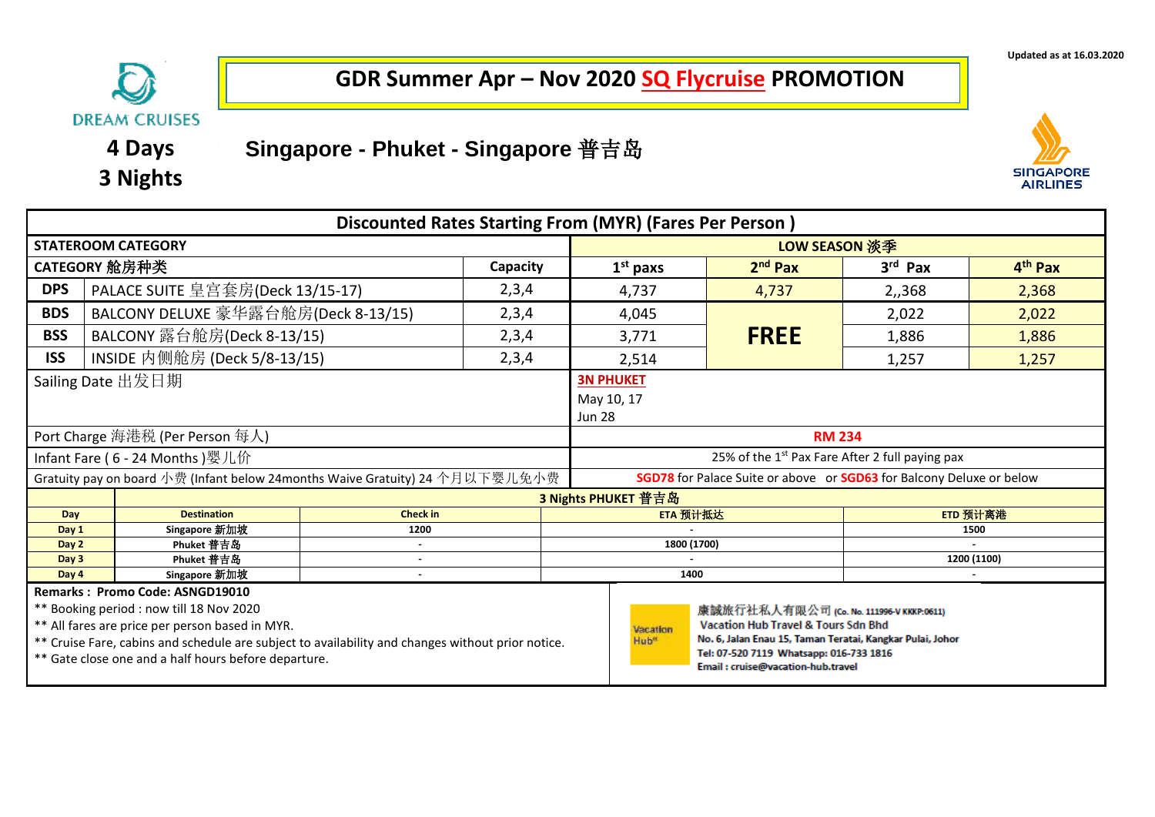

## **GDR Summer Apr – Nov 2020 SQ Flycruise PROMOTION**

## **Singapore - Phuket - Singapore** 普吉岛

**4 Days 3 Nights**



|                | <b>Discounted Rates Starting From (MYR) (Fares Per Person)</b>                                                                                                                                                                                                                                                                                                                                                                                                                                                                                                         |                 |          |               |                                                                                    |             |           |                     |  |  |
|----------------|------------------------------------------------------------------------------------------------------------------------------------------------------------------------------------------------------------------------------------------------------------------------------------------------------------------------------------------------------------------------------------------------------------------------------------------------------------------------------------------------------------------------------------------------------------------------|-----------------|----------|---------------|------------------------------------------------------------------------------------|-------------|-----------|---------------------|--|--|
|                | <b>STATEROOM CATEGORY</b>                                                                                                                                                                                                                                                                                                                                                                                                                                                                                                                                              |                 |          | LOW SEASON 淡季 |                                                                                    |             |           |                     |  |  |
|                | CATEGORY 舱房种类                                                                                                                                                                                                                                                                                                                                                                                                                                                                                                                                                          |                 | Capacity |               | $1st$ paxs                                                                         | $2nd$ Pax   | $3rd$ Pax | 4 <sup>th</sup> Pax |  |  |
| <b>DPS</b>     | PALACE SUITE 皇宫套房(Deck 13/15-17)                                                                                                                                                                                                                                                                                                                                                                                                                                                                                                                                       |                 | 2,3,4    |               | 4,737                                                                              | 4,737       | 2,,368    | 2,368               |  |  |
| <b>BDS</b>     | BALCONY DELUXE 豪华露台舱房(Deck 8-13/15)                                                                                                                                                                                                                                                                                                                                                                                                                                                                                                                                    |                 | 2,3,4    |               | 4,045                                                                              |             | 2,022     | 2,022               |  |  |
| <b>BSS</b>     | BALCONY 露台舱房(Deck 8-13/15)                                                                                                                                                                                                                                                                                                                                                                                                                                                                                                                                             |                 | 2,3,4    |               | 3,771                                                                              | <b>FREE</b> | 1,886     | 1,886               |  |  |
| <b>ISS</b>     | INSIDE 内侧舱房 (Deck 5/8-13/15)                                                                                                                                                                                                                                                                                                                                                                                                                                                                                                                                           |                 | 2,3,4    |               | 2,514                                                                              |             | 1,257     | 1,257               |  |  |
|                | Sailing Date 出发日期<br>Port Charge 海港税 (Per Person 每人)                                                                                                                                                                                                                                                                                                                                                                                                                                                                                                                   |                 |          |               | <b>3N PHUKET</b><br>May 10, 17<br><b>Jun 28</b><br><b>RM 234</b>                   |             |           |                     |  |  |
|                | Infant Fare (6 - 24 Months) 婴儿价                                                                                                                                                                                                                                                                                                                                                                                                                                                                                                                                        |                 |          |               | 25% of the 1 <sup>st</sup> Pax Fare After 2 full paying pax                        |             |           |                     |  |  |
|                | Gratuity pay on board 小费 (Infant below 24months Waive Gratuity) 24 个月以下婴儿免小费                                                                                                                                                                                                                                                                                                                                                                                                                                                                                           |                 |          |               | <b>SGD78</b> for Palace Suite or above or <b>SGD63</b> for Balcony Deluxe or below |             |           |                     |  |  |
|                |                                                                                                                                                                                                                                                                                                                                                                                                                                                                                                                                                                        |                 |          |               | 3 Nights PHUKET 普吉岛                                                                |             |           |                     |  |  |
| Day            | <b>Destination</b>                                                                                                                                                                                                                                                                                                                                                                                                                                                                                                                                                     | <b>Check in</b> |          |               | ETA 预计抵达<br>ETD 预计离港                                                               |             |           |                     |  |  |
| Day 1          | Singapore 新加坡                                                                                                                                                                                                                                                                                                                                                                                                                                                                                                                                                          | 1200            |          |               | 1500                                                                               |             |           |                     |  |  |
| Day 2<br>Day 3 | Phuket 普吉岛<br>Phuket 普吉岛                                                                                                                                                                                                                                                                                                                                                                                                                                                                                                                                               | $\sim$          |          |               | 1800 (1700)                                                                        |             |           | 1200 (1100)         |  |  |
| Day 4          | Singapore 新加坡                                                                                                                                                                                                                                                                                                                                                                                                                                                                                                                                                          |                 |          |               | 1400                                                                               |             |           |                     |  |  |
|                | Remarks: Promo Code: ASNGD19010<br>** Booking period : now till 18 Nov 2020<br>康誠旅行社私人有限公司 (Co. No. 111996-V KKKP:0611)<br>** All fares are price per person based in MYR.<br><b>Vacation Hub Travel &amp; Tours Sdn Bhd</b><br>Vacation<br>No. 6, Jalan Enau 15, Taman Teratai, Kangkar Pulai, Johor<br>** Cruise Fare, cabins and schedule are subject to availability and changes without prior notice.<br>Hub <sup>®</sup><br>Tel: 07-520 7119 Whatsapp: 016-733 1816<br>** Gate close one and a half hours before departure.<br>Email: cruise@vacation-hub.travel |                 |          |               |                                                                                    |             |           |                     |  |  |

**Updated as at 16.03.2020**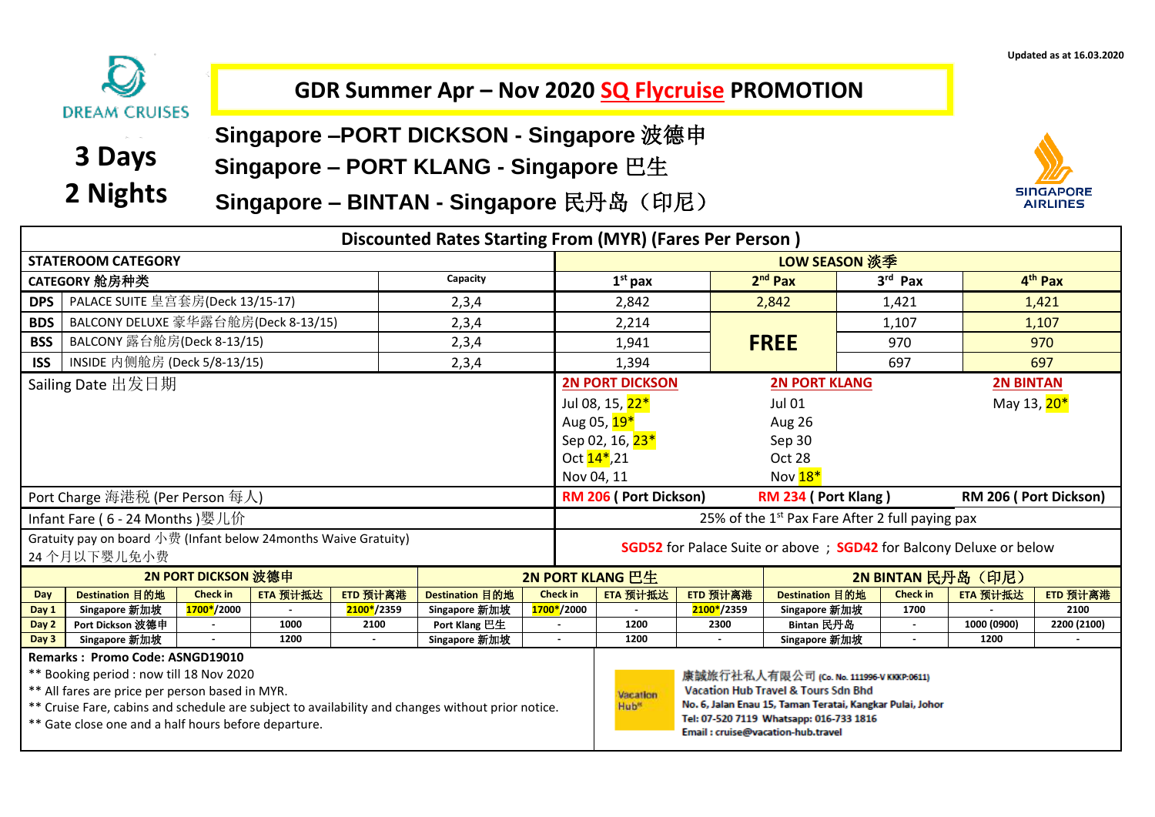

## **GDR Summer Apr – Nov 2020 SQ Flycruise PROMOTION**

- **3 Days 2 Nights**
- **Singapore –PORT DICKSON - Singapore** 波德申
- **Singapore – PORT KLANG - Singapore** 巴生
- **Singapore – BINTAN - Singapore** 民丹岛(印尼)



|                                                                                                                                                                                                                                                                                                    | <b>Discounted Rates Starting From (MYR) (Fares Per Person)</b>   |                     |          |            |                 |                 |                                                                                   |                                   |                                                                                                                                                                                                    |                  |                         |             |  |
|----------------------------------------------------------------------------------------------------------------------------------------------------------------------------------------------------------------------------------------------------------------------------------------------------|------------------------------------------------------------------|---------------------|----------|------------|-----------------|-----------------|-----------------------------------------------------------------------------------|-----------------------------------|----------------------------------------------------------------------------------------------------------------------------------------------------------------------------------------------------|------------------|-------------------------|-------------|--|
|                                                                                                                                                                                                                                                                                                    | <b>STATEROOM CATEGORY</b>                                        |                     |          |            |                 |                 |                                                                                   |                                   | LOW SEASON 淡季                                                                                                                                                                                      |                  |                         |             |  |
| Capacity<br>CATEGORY 舱房种类                                                                                                                                                                                                                                                                          |                                                                  |                     |          |            |                 |                 | $1st$ pax                                                                         |                                   | $2nd$ Pax                                                                                                                                                                                          | $3rd$ Pax        |                         | $4th$ Pax   |  |
| <b>DPS</b>                                                                                                                                                                                                                                                                                         | PALACE SUITE 皇宫套房(Deck 13/15-17)                                 |                     |          |            | 2,3,4           |                 | 2,842                                                                             |                                   | 2,842                                                                                                                                                                                              | 1,421            |                         | 1,421       |  |
| <b>BDS</b>                                                                                                                                                                                                                                                                                         | BALCONY DELUXE 豪华露台舱房(Deck 8-13/15)                              |                     |          |            | 2,3,4           |                 | 2,214                                                                             |                                   |                                                                                                                                                                                                    | 1,107            |                         | 1,107       |  |
| <b>BSS</b>                                                                                                                                                                                                                                                                                         | BALCONY 露台舱房(Deck 8-13/15)                                       |                     |          |            | 2,3,4           |                 | 1,941                                                                             |                                   | <b>FREE</b>                                                                                                                                                                                        | 970              |                         | 970         |  |
| <b>ISS</b>                                                                                                                                                                                                                                                                                         | INSIDE 内侧舱房 (Deck 5/8-13/15)                                     |                     |          |            | 2,3,4           |                 | 1,394                                                                             |                                   |                                                                                                                                                                                                    | 697              |                         | 697         |  |
|                                                                                                                                                                                                                                                                                                    | Sailing Date 出发日期                                                |                     |          |            |                 |                 | <b>2N PORT DICKSON</b>                                                            |                                   | <b>2N PORT KLANG</b>                                                                                                                                                                               |                  | <b>2N BINTAN</b>        |             |  |
|                                                                                                                                                                                                                                                                                                    |                                                                  |                     |          |            |                 |                 | Jul 08, 15, 22 <sup>*</sup>                                                       |                                   | <b>Jul 01</b>                                                                                                                                                                                      |                  | May 13, 20 <sup>*</sup> |             |  |
|                                                                                                                                                                                                                                                                                                    |                                                                  |                     |          |            |                 |                 | Aug 05, 19 <sup>*</sup>                                                           |                                   | Aug 26                                                                                                                                                                                             |                  |                         |             |  |
|                                                                                                                                                                                                                                                                                                    |                                                                  |                     |          |            |                 |                 | Sep 02, 16, 23 <sup>*</sup>                                                       |                                   | Sep 30                                                                                                                                                                                             |                  |                         |             |  |
|                                                                                                                                                                                                                                                                                                    |                                                                  |                     |          |            |                 |                 | Oct $14$ <sup>*</sup> ,21<br>Oct 28                                               |                                   |                                                                                                                                                                                                    |                  |                         |             |  |
|                                                                                                                                                                                                                                                                                                    |                                                                  |                     |          |            |                 |                 | Nov 18 <sup>*</sup><br>Nov 04, 11                                                 |                                   |                                                                                                                                                                                                    |                  |                         |             |  |
|                                                                                                                                                                                                                                                                                                    | Port Charge 海港税 (Per Person 每人)                                  |                     |          |            |                 |                 | <b>RM 206 (Port Dickson)</b><br>RM 234 (Port Klang)<br>RM 206 (Port Dickson)      |                                   |                                                                                                                                                                                                    |                  |                         |             |  |
|                                                                                                                                                                                                                                                                                                    | Infant Fare (6 - 24 Months)婴儿价                                   |                     |          |            |                 |                 | 25% of the 1 <sup>st</sup> Pax Fare After 2 full paying pax                       |                                   |                                                                                                                                                                                                    |                  |                         |             |  |
|                                                                                                                                                                                                                                                                                                    | Gratuity pay on board 小费 (Infant below 24 months Waive Gratuity) |                     |          |            |                 |                 | <b>SGD52</b> for Palace Suite or above ; <b>SGD42</b> for Balcony Deluxe or below |                                   |                                                                                                                                                                                                    |                  |                         |             |  |
|                                                                                                                                                                                                                                                                                                    | 24个月以下婴儿免小费                                                      |                     |          |            |                 |                 |                                                                                   |                                   |                                                                                                                                                                                                    |                  |                         |             |  |
|                                                                                                                                                                                                                                                                                                    |                                                                  | 2N PORT DICKSON 波德申 |          |            |                 |                 | 2N PORT KLANG 巴生<br>2N BINTAN 民丹岛 (印尼)                                            |                                   |                                                                                                                                                                                                    |                  |                         |             |  |
| Day                                                                                                                                                                                                                                                                                                | Destination 目的地                                                  | <b>Check in</b>     | ETA 预计抵达 | ETD 预计离港   | Destination 目的地 | <b>Check in</b> | ETA 预计抵达                                                                          | ETD 预计离港                          | Destination 目的地                                                                                                                                                                                    | <b>Check in</b>  | ETA 预计抵达                | ETD 预计离港    |  |
| Day 1                                                                                                                                                                                                                                                                                              | Singapore 新加坡                                                    | 1700*/2000          |          | 2100*/2359 | Singapore 新加坡   | 1700*/2000      |                                                                                   | 2100*/2359                        | Singapore 新加坡                                                                                                                                                                                      | 1700             |                         | 2100        |  |
| Day 2                                                                                                                                                                                                                                                                                              | Port Dickson 波德申                                                 |                     | 1000     | 2100       | Port Klang 巴生   | $\sim$          | 1200<br>1200                                                                      | 2300                              | Bintan 民丹岛                                                                                                                                                                                         | $\sim$<br>$\sim$ | 1000 (0900)<br>1200     | 2200 (2100) |  |
| Singapore 新加坡<br>Singapore 新加坡<br>Day 3<br>1200                                                                                                                                                                                                                                                    |                                                                  |                     |          |            |                 |                 |                                                                                   |                                   | Singapore 新加坡                                                                                                                                                                                      |                  |                         |             |  |
| <b>Remarks: Promo Code: ASNGD19010</b><br>** Booking period : now till 18 Nov 2020<br>** All fares are price per person based in MYR.<br>** Cruise Fare, cabins and schedule are subject to availability and changes without prior notice.<br>** Gate close one and a half hours before departure. |                                                                  |                     |          |            |                 |                 | Vacation<br>Hub <sup>®</sup>                                                      | Email: cruise@vacation-hub.travel | 康誠旅行社私人有限公司 (Co. No. 111996-V KKKP:0611)<br><b>Vacation Hub Travel &amp; Tours Sdn Bhd</b><br>No. 6, Jalan Enau 15, Taman Teratai, Kangkar Pulai, Johor<br>Tel: 07-520 7119 Whatsapp: 016-733 1816 |                  |                         |             |  |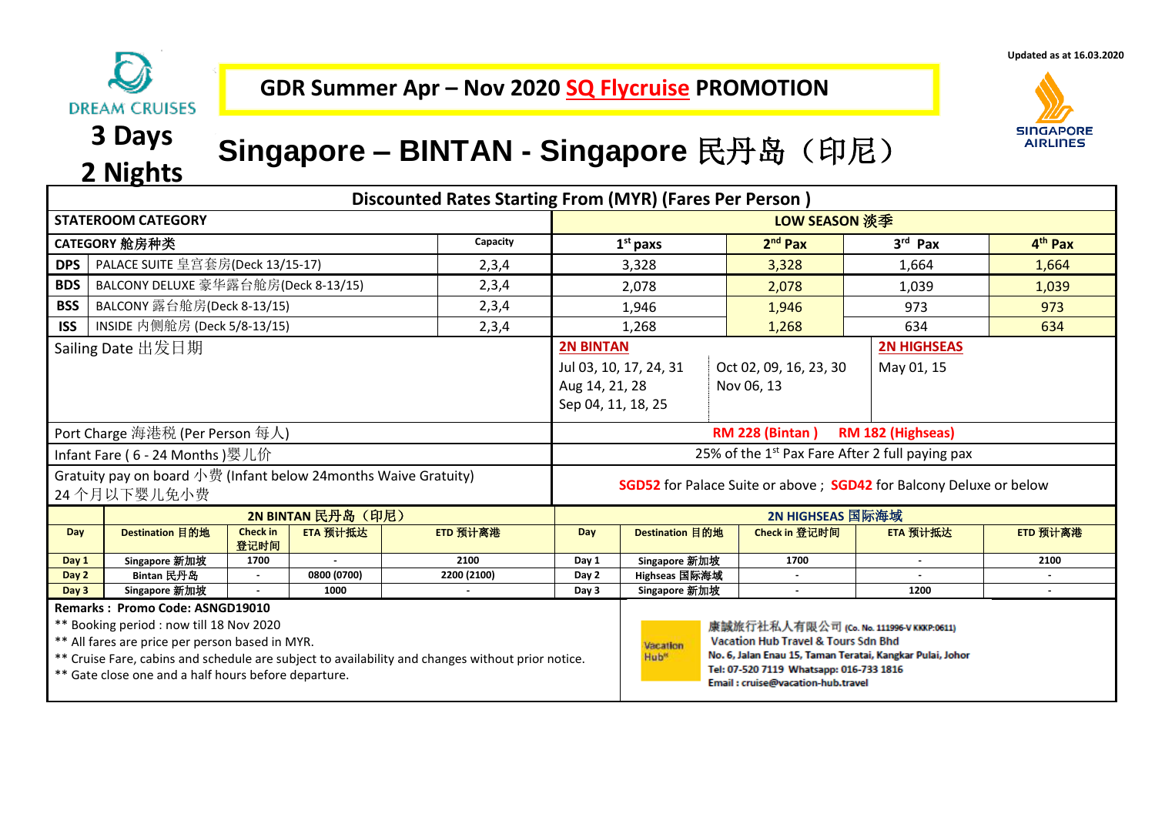

**Updated as at 16.03.2020**



# **3 Days**

## **<sup>2</sup> Nights Singapore – BINTAN - Singapore** 民丹岛(印尼)

|                                                                                                                                                                                                                                                                                             | Discounted Rates Starting From (MYR) (Fares Per Person) |                         |                    |             |                                                                                  |                                                                                                                                                                |                                                                                                                                                                                                                                         |                 |                     |  |  |
|---------------------------------------------------------------------------------------------------------------------------------------------------------------------------------------------------------------------------------------------------------------------------------------------|---------------------------------------------------------|-------------------------|--------------------|-------------|----------------------------------------------------------------------------------|----------------------------------------------------------------------------------------------------------------------------------------------------------------|-----------------------------------------------------------------------------------------------------------------------------------------------------------------------------------------------------------------------------------------|-----------------|---------------------|--|--|
|                                                                                                                                                                                                                                                                                             | <b>STATEROOM CATEGORY</b>                               |                         |                    |             |                                                                                  | LOW SEASON 淡季                                                                                                                                                  |                                                                                                                                                                                                                                         |                 |                     |  |  |
|                                                                                                                                                                                                                                                                                             | CATEGORY 舱房种类                                           |                         |                    | Capacity    |                                                                                  | $1st$ paxs                                                                                                                                                     | $2nd$ Pax                                                                                                                                                                                                                               | 3rd Pax         | 4 <sup>th</sup> Pax |  |  |
| <b>DPS</b>                                                                                                                                                                                                                                                                                  | PALACE SUITE 皇宫套房(Deck 13/15-17)                        |                         |                    | 2,3,4       |                                                                                  | 3,328                                                                                                                                                          | 3,328                                                                                                                                                                                                                                   | 1,664           | 1,664               |  |  |
| <b>BDS</b>                                                                                                                                                                                                                                                                                  | BALCONY DELUXE 豪华露台舱房(Deck 8-13/15)                     |                         |                    | 2,3,4       |                                                                                  | 2,078                                                                                                                                                          | 2,078                                                                                                                                                                                                                                   | 1,039           | 1,039               |  |  |
| <b>BSS</b>                                                                                                                                                                                                                                                                                  | BALCONY 露台舱房(Deck 8-13/15)                              |                         |                    | 2,3,4       |                                                                                  | 1,946                                                                                                                                                          | 1,946                                                                                                                                                                                                                                   | 973             | 973                 |  |  |
| <b>ISS</b>                                                                                                                                                                                                                                                                                  | INSIDE 内侧舱房 (Deck 5/8-13/15)                            |                         |                    | 2,3,4       |                                                                                  | 1,268                                                                                                                                                          | 1,268                                                                                                                                                                                                                                   | 634             | 634                 |  |  |
| Sailing Date 出发日期                                                                                                                                                                                                                                                                           |                                                         |                         |                    |             |                                                                                  | <b>2N BINTAN</b><br><b>2N HIGHSEAS</b><br>Oct 02, 09, 16, 23, 30<br>Jul 03, 10, 17, 24, 31<br>May 01, 15<br>Aug 14, 21, 28<br>Nov 06, 13<br>Sep 04, 11, 18, 25 |                                                                                                                                                                                                                                         |                 |                     |  |  |
|                                                                                                                                                                                                                                                                                             | Port Charge 海港税 (Per Person 每人)                         |                         |                    |             | <b>RM 228 (Bintan)</b><br>RM 182 (Highseas)                                      |                                                                                                                                                                |                                                                                                                                                                                                                                         |                 |                     |  |  |
|                                                                                                                                                                                                                                                                                             | Infant Fare (6 - 24 Months) 婴儿价                         |                         |                    |             | 25% of the 1 <sup>st</sup> Pax Fare After 2 full paying pax                      |                                                                                                                                                                |                                                                                                                                                                                                                                         |                 |                     |  |  |
| Gratuity pay on board 小费 (Infant below 24 months Waive Gratuity)<br>24个月以下婴儿免小费                                                                                                                                                                                                             |                                                         |                         |                    |             | <b>SGD52</b> for Palace Suite or above; <b>SGD42</b> for Balcony Deluxe or below |                                                                                                                                                                |                                                                                                                                                                                                                                         |                 |                     |  |  |
|                                                                                                                                                                                                                                                                                             |                                                         |                         | 2N BINTAN 民丹岛 (印尼) |             | 2N HIGHSEAS 国际海域                                                                 |                                                                                                                                                                |                                                                                                                                                                                                                                         |                 |                     |  |  |
| Day                                                                                                                                                                                                                                                                                         | Destination 目的地                                         | <b>Check in</b><br>登记时间 | ETA 预计抵达           | ETD 预计离港    | Day                                                                              | Destination 目的地                                                                                                                                                | Check in 登记时间                                                                                                                                                                                                                           | <b>ETA 预计抵达</b> | ETD 预计离港            |  |  |
| Day 1                                                                                                                                                                                                                                                                                       | Singapore 新加坡                                           | 1700                    | $\sim$             | 2100        | Day 1                                                                            | Singapore 新加坡                                                                                                                                                  | 1700                                                                                                                                                                                                                                    | $\sim$          | 2100                |  |  |
| Day 2                                                                                                                                                                                                                                                                                       | Bintan 民丹岛                                              |                         | 0800 (0700)        | 2200 (2100) | Day 2                                                                            | Highseas 国际海域                                                                                                                                                  |                                                                                                                                                                                                                                         |                 |                     |  |  |
| Day 3                                                                                                                                                                                                                                                                                       | Singapore 新加坡                                           |                         | 1000               |             | Day 3                                                                            | Singapore 新加坡                                                                                                                                                  | $\blacksquare$                                                                                                                                                                                                                          | 1200            |                     |  |  |
| Remarks: Promo Code: ASNGD19010<br>** Booking period : now till 18 Nov 2020<br>** All fares are price per person based in MYR.<br>** Cruise Fare, cabins and schedule are subject to availability and changes without prior notice.<br>** Gate close one and a half hours before departure. |                                                         |                         |                    |             |                                                                                  | Vacation<br>Hub <sup>®</sup>                                                                                                                                   | 康誠旅行社私人有限公司 (Co. No. 111996-V KKKP:0611)<br><b>Vacation Hub Travel &amp; Tours Sdn Bhd</b><br>No. 6, Jalan Enau 15, Taman Teratai, Kangkar Pulai, Johor<br>Tel: 07-520 7119 Whatsapp: 016-733 1816<br>Email: cruise@vacation-hub.travel |                 |                     |  |  |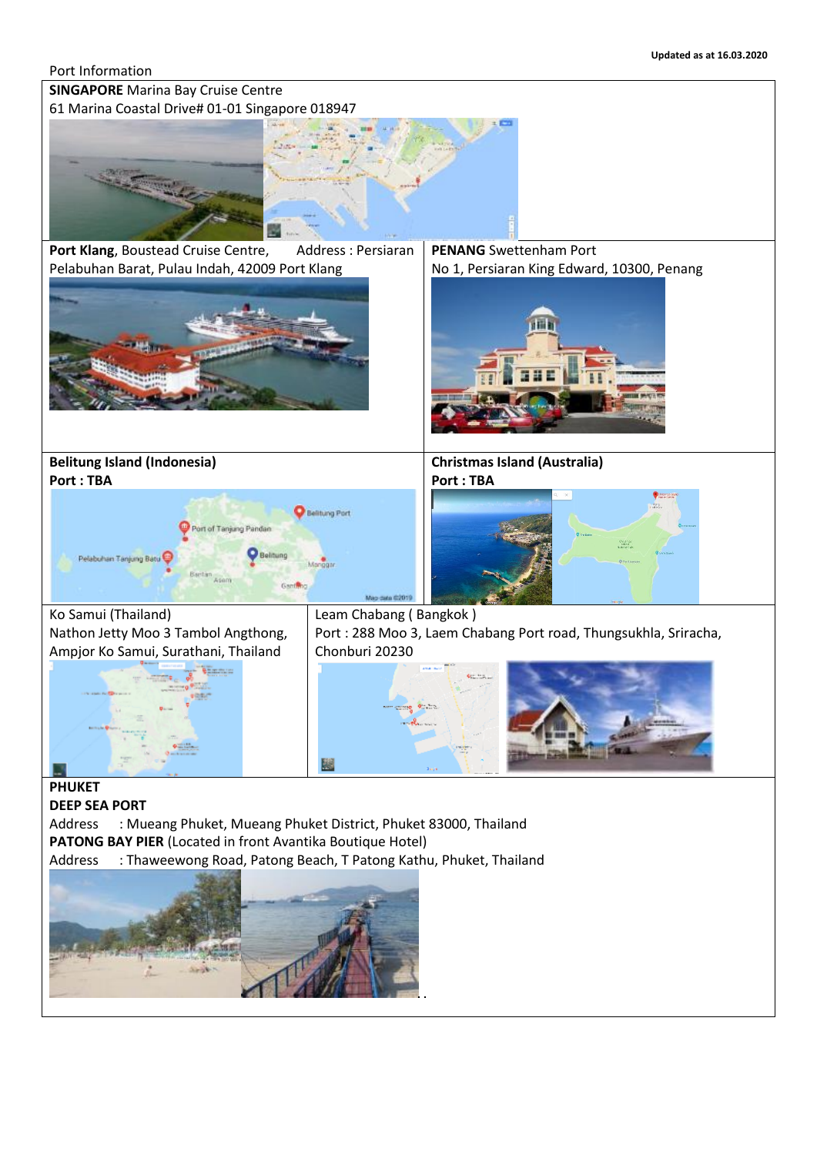#### Port Information

**SINGAPORE** Marina Bay Cruise Centre



Port Klang, Boustead Cruise Centre, Address : Persiaran Pelabuhan Barat, Pulau Indah, 42009 Port Klang



**PENANG** Swettenham Port No 1, Persiaran King Edward, 10300, Penang



**Belitung Island (Indonesia) Port : TBA**



**Christmas Island (Australia) Port : TBA**



Ko Samui (Thailand) Nathon Jetty Moo 3 Tambol Angthong, Ampjor Ko Samui, Surathani, Thailand



Leam Chabang ( Bangkok ) Port : 288 Moo 3, Laem Chabang Port road, Thungsukhla, Sriracha, Chonburi 20230



**PHUKET** 

**DEEP SEA PORT** 

Address : Mueang Phuket, Mueang Phuket District, Phuket 83000, Thailand **PATONG BAY PIER** (Located in front Avantika Boutique Hotel)

Address : Thaweewong Road, Patong Beach, T Patong Kathu, Phuket, Thailand

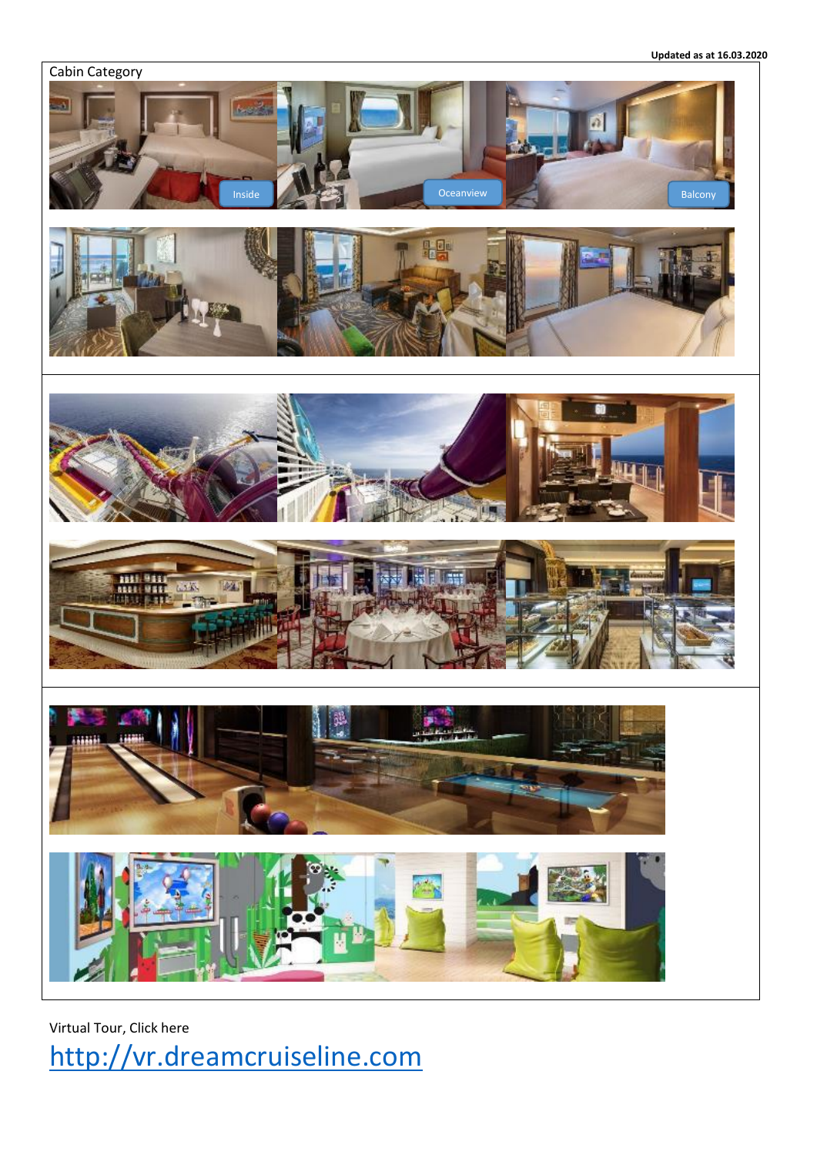**Updated as at 16.03.2020**



Virtual Tour, Click here [http://vr.dreamcruiseline.com](http://vr.dreamcruiseline.com/)